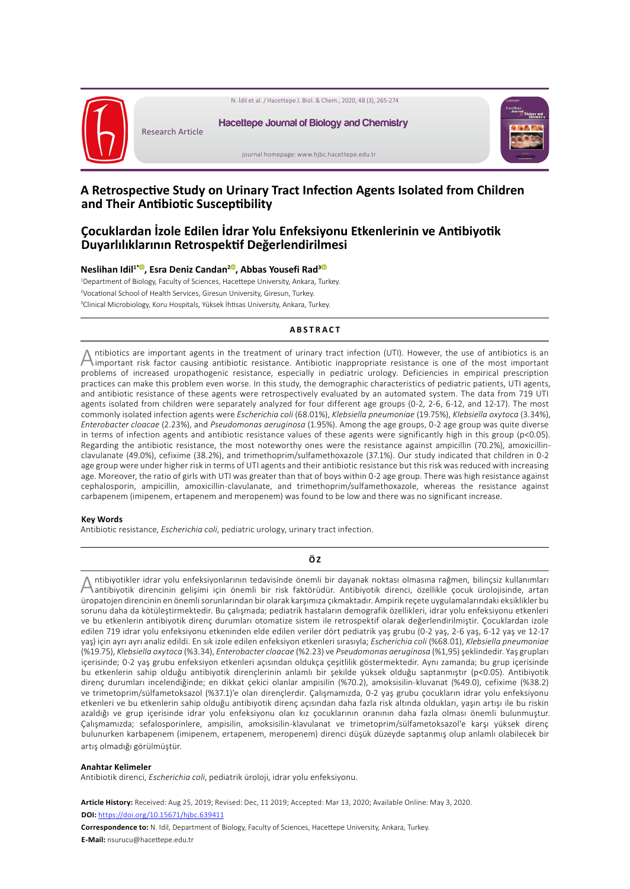

# **A Retrospective Study on Urinary Tract Infection Agents Isolated from Children and Their Antibiotic Susceptibility**

## **Çocuklardan İzole Edilen İdrar Yolu Enfeksiyonu Etkenlerinin ve Antibiyotik Duyarlılıklarının Retrospektif Değerlendirilmesi**

#### **Neslihan Idil1[\\*](https://orcid.org/0000-0002-6540-540X) , Esra Deniz Candan2 [,](https://orcid.org/0000-0003-2515-9643) Abbas Yousefi Rad[3](https://orcid.org/0000-0001-5511-1355)**

1 Department of Biology, Faculty of Sciences, Hacettepe University, Ankara, Turkey. 2 Vocational School of Health Services, Giresun University, Giresun, Turkey. 3 Clinical Microbiology, Koru Hospitals, Yüksek İhtisas University, Ankara, Turkey.

### **ABSTRACT**

Antibiotics are important agents in the treatment of urinary tract infection (UTI). However, the use of antibiotics is an important risk factor causing antibiotic resistance. Antibiotic inappropriate resistance is one of t problems of increased uropathogenic resistance, especially in pediatric urology. Deficiencies in empirical prescription practices can make this problem even worse. In this study, the demographic characteristics of pediatric patients, UTI agents, and antibiotic resistance of these agents were retrospectively evaluated by an automated system. The data from 719 UTI agents isolated from children were separately analyzed for four different age groups (0-2, 2-6, 6-12, and 12-17). The most commonly isolated infection agents were *Escherichia coli* (68.01%), *Klebsiella pneumoniae* (19.75%), *Klebsiella oxytoca* (3.34%), *Enterobacter cloacae* (2.23%), and *Pseudomonas aeruginosa* (1.95%). Among the age groups, 0-2 age group was quite diverse in terms of infection agents and antibiotic resistance values of these agents were significantly high in this group (p<0.05). Regarding the antibiotic resistance, the most noteworthy ones were the resistance against ampicillin (70.2%), amoxicillinclavulanate (49.0%), cefixime (38.2%), and trimethoprim/sulfamethoxazole (37.1%). Our study indicated that children in 0-2 age group were under higher risk in terms of UTI agents and their antibiotic resistance but this risk was reduced with increasing age. Moreover, the ratio of girls with UTI was greater than that of boys within 0-2 age group. There was high resistance against cephalosporin, ampicillin, amoxicillin-clavulanate, and trimethoprim/sulfamethoxazole, whereas the resistance against carbapenem (imipenem, ertapenem and meropenem) was found to be low and there was no significant increase.

#### **Key Words**

Antibiotic resistance, *Escherichia coli*, pediatric urology, urinary tract infection.

#### **Ö Z**

Antibiyotikler idrar yolu enfeksiyonlarının tedavisinde önemli bir dayanak noktası olmasına rağmen, bilinçsiz kullanımları altı antibiyotik direncinin gelişimi için önemli bir risk faktörüdür. Antibiyotik direnci, özellikl üropatojen direncinin en önemli sorunlarından bir olarak karşımıza çıkmaktadır. Ampirik reçete uygulamalarındaki eksiklikler bu sorunu daha da kötüleştirmektedir. Bu çalışmada; pediatrik hastaların demografik özellikleri, idrar yolu enfeksiyonu etkenleri ve bu etkenlerin antibiyotik direnç durumları otomatize sistem ile retrospektif olarak değerlendirilmiştir. Çocuklardan izole edilen 719 idrar yolu enfeksiyonu etkeninden elde edilen veriler dört pediatrik yaş grubu (0-2 yaş, 2-6 yaş, 6-12 yaş ve 12-17 yaş) için ayrı ayrı analiz edildi. En sık izole edilen enfeksiyon etkenleri sırasıyla; *Escherichia coli* (%68.01), *Klebsiella pneumoniae* (%19.75), *Klebsiella oxytoca* (%3.34), *Enterobacter cloacae* (%2.23) ve *Pseudomonas aeruginosa* (%1,95) şeklindedir. Yaş grupları içerisinde; 0-2 yaş grubu enfeksiyon etkenleri açısından oldukça çeşitlilik göstermektedir. Aynı zamanda; bu grup içerisinde bu etkenlerin sahip olduğu antibiyotik dirençlerinin anlamlı bir şekilde yüksek olduğu saptanmıştır (p<0.05). Antibiyotik direnç durumları incelendiğinde; en dikkat çekici olanlar ampisilin (%70.2), amoksisilin-kluvanat (%49.0), cefixime (%38.2) ve trimetoprim/sülfametoksazol (%37.1)'e olan dirençlerdir. Çalışmamızda, 0-2 yaş grubu çocukların idrar yolu enfeksiyonu etkenleri ve bu etkenlerin sahip olduğu antibiyotik direnç açısından daha fazla risk altında oldukları, yaşın artışı ile bu riskin azaldığı ve grup içerisinde idrar yolu enfeksiyonu olan kız çocuklarının oranının daha fazla olması önemli bulunmuştur. Çalışmamızda; sefalosporinlere, ampisilin, amoksisilin-klavulanat ve trimetoprim/sülfametoksazol'e karşı yüksek direnç bulunurken karbapenem (imipenem, ertapenem, meropenem) direnci düşük düzeyde saptanmış olup anlamlı olabilecek bir artış olmadığı görülmüştür.

#### **Anahtar Kelimeler**

Antibiotik direnci, *Escherichia coli*, pediatrik üroloji, idrar yolu enfeksiyonu.

**Article History:** Received: Aug 25, 2019; Revised: Dec, 11 2019; Accepted: Mar 13, 2020; Available Online: May 3, 2020. **DOI:** <https://doi.org/10.15671/hjbc.639411>

**Correspondence to:** N. Idil, Department of Biology, Faculty of Sciences, Hacettepe University, Ankara, Turkey. **E-Mail:** nsurucu@hacettepe.edu.tr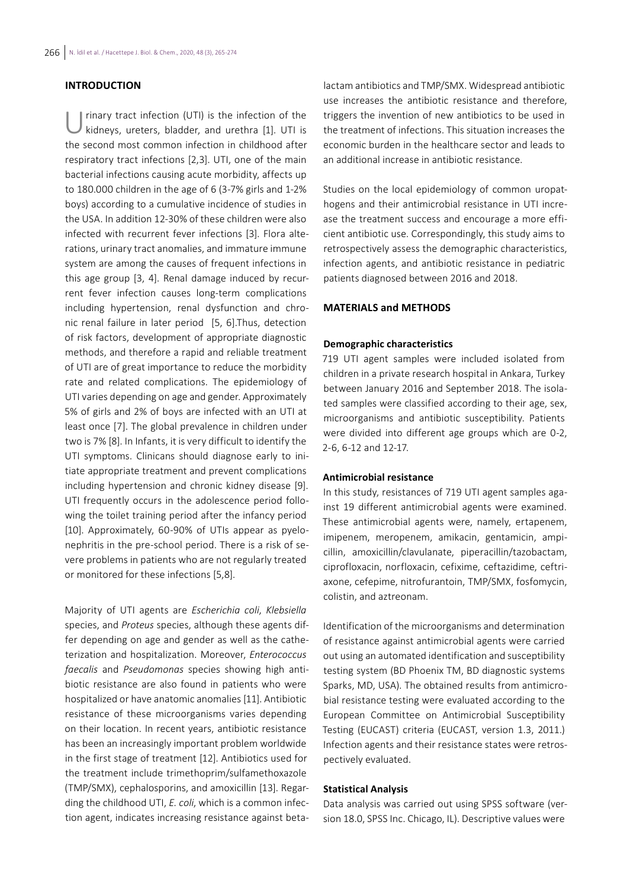## **INTRODUCTION**

rinary tract infection (UTI) is the infection of the kidneys, ureters, bladder, and urethra [1]. UTI is the second most common infection in childhood after respiratory tract infections [2,3]. UTI, one of the main bacterial infections causing acute morbidity, affects up to 180.000 children in the age of 6 (3-7% girls and 1-2% boys) according to a cumulative incidence of studies in the USA. In addition 12-30% of these children were also infected with recurrent fever infections [3]. Flora alterations, urinary tract anomalies, and immature immune system are among the causes of frequent infections in this age group [3, 4]. Renal damage induced by recurrent fever infection causes long-term complications including hypertension, renal dysfunction and chronic renal failure in later period [5, 6].Thus, detection of risk factors, development of appropriate diagnostic methods, and therefore a rapid and reliable treatment of UTI are of great importance to reduce the morbidity rate and related complications. The epidemiology of UTI varies depending on age and gender. Approximately 5% of girls and 2% of boys are infected with an UTI at least once [7]. The global prevalence in children under two is 7% [8]. In Infants, it is very difficult to identify the UTI symptoms. Clinicans should diagnose early to initiate appropriate treatment and prevent complications including hypertension and chronic kidney disease [9]. UTI frequently occurs in the adolescence period following the toilet training period after the infancy period [10]. Approximately, 60-90% of UTIs appear as pyelonephritis in the pre-school period. There is a risk of severe problems in patients who are not regularly treated or monitored for these infections [5,8].

Majority of UTI agents are *Escherichia coli*, *Klebsiella*  species, and *Proteus* species, although these agents differ depending on age and gender as well as the catheterization and hospitalization. Moreover, *Enterococcus faecalis* and *Pseudomonas* species showing high antibiotic resistance are also found in patients who were hospitalized or have anatomic anomalies [11]. Antibiotic resistance of these microorganisms varies depending on their location. In recent years, antibiotic resistance has been an increasingly important problem worldwide in the first stage of treatment [12]. Antibiotics used for the treatment include trimethoprim/sulfamethoxazole (TMP/SMX), cephalosporins, and amoxicillin [13]. Regarding the childhood UTI, *E. coli*, which is a common infection agent, indicates increasing resistance against betalactam antibiotics and TMP/SMX. Widespread antibiotic use increases the antibiotic resistance and therefore, triggers the invention of new antibiotics to be used in the treatment of infections. This situation increases the economic burden in the healthcare sector and leads to an additional increase in antibiotic resistance.

Studies on the local epidemiology of common uropathogens and their antimicrobial resistance in UTI increase the treatment success and encourage a more efficient antibiotic use. Correspondingly, this study aims to retrospectively assess the demographic characteristics, infection agents, and antibiotic resistance in pediatric patients diagnosed between 2016 and 2018.

#### **MATERIALS and METHODS**

#### **Demographic characteristics**

719 UTI agent samples were included isolated from children in a private research hospital in Ankara, Turkey between January 2016 and September 2018. The isolated samples were classified according to their age, sex, microorganisms and antibiotic susceptibility. Patients were divided into different age groups which are 0-2, 2-6, 6-12 and 12-17.

#### **Antimicrobial resistance**

In this study, resistances of 719 UTI agent samples against 19 different antimicrobial agents were examined. These antimicrobial agents were, namely, ertapenem, imipenem, meropenem, amikacin, gentamicin, ampicillin, amoxicillin/clavulanate, piperacillin/tazobactam, ciprofloxacin, norfloxacin, cefixime, ceftazidime, ceftriaxone, cefepime, nitrofurantoin, TMP/SMX, fosfomycin, colistin, and aztreonam.

Identification of the microorganisms and determination of resistance against antimicrobial agents were carried out using an automated identification and susceptibility testing system (BD Phoenix TM, BD diagnostic systems Sparks, MD, USA). The obtained results from antimicrobial resistance testing were evaluated according to the European Committee on Antimicrobial Susceptibility Testing (EUCAST) criteria (EUCAST, version 1.3, 2011.) Infection agents and their resistance states were retrospectively evaluated.

### **Statistical Analysis**

Data analysis was carried out using SPSS software (version 18.0, SPSS Inc. Chicago, IL). Descriptive values were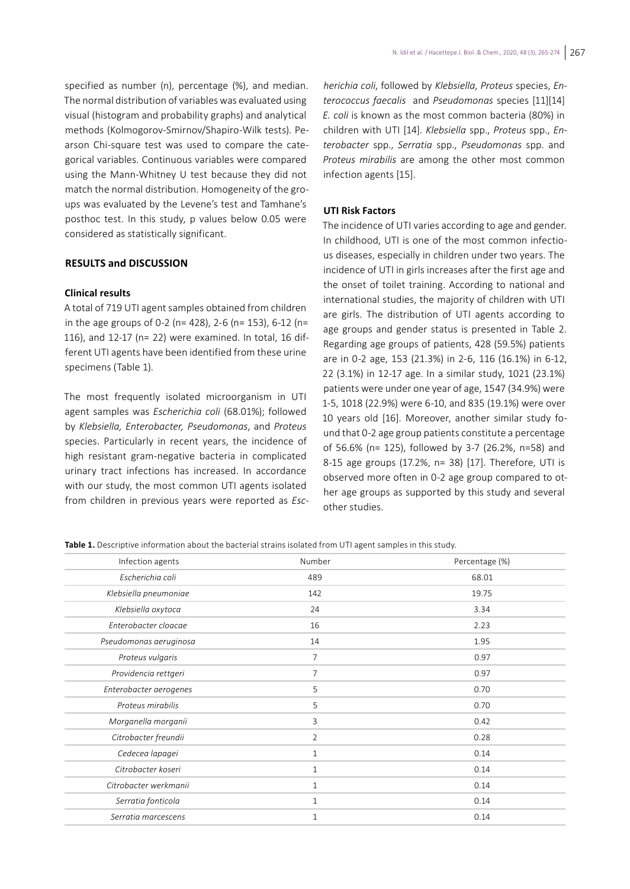specified as number (n), percentage (%), and median. The normal distribution of variables was evaluated using visual (histogram and probability graphs) and analytical methods (Kolmogorov-Smirnov/Shapiro-Wilk tests). Pearson Chi-square test was used to compare the categorical variables. Continuous variables were compared using the Mann-Whitney U test because they did not match the normal distribution. Homogeneity of the groups was evaluated by the Levene's test and Tamhane's posthoc test. In this study, p values below 0.05 were considered as statistically significant.

#### **RESULTS and DISCUSSION**

#### **Clinical results**

A total of 719 UTI agent samples obtained from children in the age groups of 0-2 (n= 428), 2-6 (n= 153), 6-12 (n= 116), and 12-17 (n= 22) were examined. In total, 16 different UTI agents have been identified from these urine specimens (Table 1).

The most frequently isolated microorganism in UTI agent samples was *Escherichia coli* (68.01%); followed by *Klebsiella, Enterobacter, Pseudomonas*, and *Proteus* species. Particularly in recent years, the incidence of high resistant gram-negative bacteria in complicated urinary tract infections has increased. In accordance with our study, the most common UTI agents isolated from children in previous years were reported as *Esc-*

*herichia coli*, followed by *Klebsiella*, *Proteus* species, *Enterococcus faecalis* and *Pseudomonas* species [11][14] *E. coli* is known as the most common bacteria (80%) in children with UTI [14]. *Klebsiella* spp., *Proteus* spp., *Enterobacter* spp., *Serratia* spp., *Pseudomonas* spp. and *Proteus mirabilis* are among the other most common infection agents [15].

### **UTI Risk Factors**

The incidence of UTI varies according to age and gender. In childhood, UTI is one of the most common infectious diseases, especially in children under two years. The incidence of UTI in girls increases after the first age and the onset of toilet training. According to national and international studies, the majority of children with UTI are girls. The distribution of UTI agents according to age groups and gender status is presented in Table 2. Regarding age groups of patients, 428 (59.5%) patients are in 0-2 age, 153 (21.3%) in 2-6, 116 (16.1%) in 6-12, 22 (3.1%) in 12-17 age. In a similar study, 1021 (23.1%) patients were under one year of age, 1547 (34.9%) were 1-5, 1018 (22.9%) were 6-10, and 835 (19.1%) were over 10 years old [16]. Moreover, another similar study found that 0-2 age group patients constitute a percentage of 56.6% (n= 125), followed by 3-7 (26.2%, n=58) and 8-15 age groups (17.2%, n= 38) [17]. Therefore, UTI is observed more often in 0-2 age group compared to other age groups as supported by this study and several other studies.

**Table 1.** Descriptive information about the bacterial strains isolated from UTI agent samples in this study.

| Infection agents       | Number         | Percentage (%) |
|------------------------|----------------|----------------|
| Escherichia coli       | 489            | 68.01          |
| Klebsiella pneumoniae  | 142            | 19.75          |
| Klebsiella oxytoca     | 24             | 3.34           |
| Enterobacter cloacae   | 16             | 2.23           |
| Pseudomonas aeruginosa | 14             | 1.95           |
| Proteus vulgaris       | $\overline{7}$ | 0.97           |
| Providencia rettgeri   | $\overline{7}$ | 0.97           |
| Enterobacter aerogenes | 5              | 0.70           |
| Proteus mirabilis      | 5              | 0.70           |
| Morganella morganii    | $\mathbf{3}$   | 0.42           |
| Citrobacter freundii   | $\overline{2}$ | 0.28           |
| Cedecea lapagei        | $\mathbf{1}$   | 0.14           |
| Citrobacter koseri     | $\mathbf{1}$   | 0.14           |
| Citrobacter werkmanii  | $\mathbf{1}$   | 0.14           |
| Serratia fonticola     | $\mathbf{1}$   | 0.14           |
| Serratia marcescens    | $\mathbf{1}$   | 0.14           |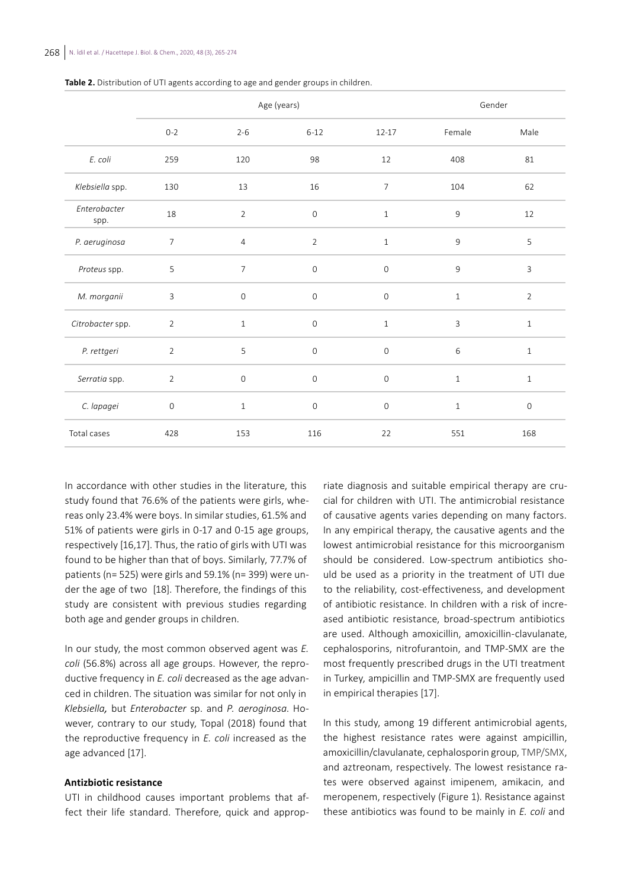|                      |                     | Age (years)    |                     | Gender              |              |                |
|----------------------|---------------------|----------------|---------------------|---------------------|--------------|----------------|
|                      | $0 - 2$             | $2 - 6$        | $6 - 12$            | $12 - 17$           | Female       | Male           |
| E. coli              | 259                 | 120            | 98                  | 12                  | 408          | 81             |
| Klebsiella spp.      | 130                 | 13             | 16                  | $\overline{7}$      | 104          | 62             |
| Enterobacter<br>spp. | 18                  | $\overline{2}$ | $\mathsf{O}\xspace$ | $1\,$               | $\mathsf 9$  | 12             |
| P. aeruginosa        | $\overline{7}$      | $\overline{4}$ | $\overline{2}$      | $\mathbf{1}$        | $\mathsf g$  | 5              |
| Proteus spp.         | 5                   | $\overline{7}$ | $\mathbf 0$         | $\mathsf O$         | 9            | 3              |
| M. morganii          | 3                   | $\mathsf O$    | $\mathbf 0$         | $\mathbb O$         | $\mathbf{1}$ | $\overline{2}$ |
| Citrobacter spp.     | $\overline{2}$      | $\mathbf{1}$   | $\mathsf{O}\xspace$ | $1\,$               | $\mathbf{3}$ | $1\,$          |
| P. rettgeri          | $\overline{2}$      | 5              | $\mathbf 0$         | $\mathsf{O}\xspace$ | 6            | $1\,$          |
| Serratia spp.        | $\overline{2}$      | $\mathbb O$    | $\mathbf 0$         | $\mathbf 0$         | $\mathbf{1}$ | $\mathbf{1}$   |
| C. lapagei           | $\mathsf{O}\xspace$ | $1\,$          | $\mathbf 0$         | $\mathsf{O}\xspace$ | $\mathbf{1}$ | $\mathsf O$    |
| Total cases          | 428                 | 153            | 116                 | 22                  | 551          | 168            |

**Table 2.** Distribution of UTI agents according to age and gender groups in children.

In accordance with other studies in the literature, this study found that 76.6% of the patients were girls, whereas only 23.4% were boys. In similar studies, 61.5% and 51% of patients were girls in 0-17 and 0-15 age groups, respectively [16,17]. Thus, the ratio of girls with UTI was found to be higher than that of boys. Similarly, 77.7% of patients (n= 525) were girls and 59.1% (n= 399) were under the age of two [18]. Therefore, the findings of this study are consistent with previous studies regarding both age and gender groups in children.

In our study, the most common observed agent was *E. coli* (56.8%) across all age groups. However, the reproductive frequency in *E. coli* decreased as the age advanced in children. The situation was similar for not only in *Klebsiella,* but *Enterobacter* sp. and *P. aeroginosa*. However, contrary to our study, Topal (2018) found that the reproductive frequency in *E. coli* increased as the age advanced [17].

### **Antizbiotic resistance**

UTI in childhood causes important problems that affect their life standard. Therefore, quick and approp-

riate diagnosis and suitable empirical therapy are crucial for children with UTI. The antimicrobial resistance of causative agents varies depending on many factors. In any empirical therapy, the causative agents and the lowest antimicrobial resistance for this microorganism should be considered. Low-spectrum antibiotics should be used as a priority in the treatment of UTI due to the reliability, cost-effectiveness, and development of antibiotic resistance. In children with a risk of increased antibiotic resistance, broad-spectrum antibiotics are used. Although amoxicillin, amoxicillin-clavulanate, cephalosporins, nitrofurantoin, and TMP-SMX are the most frequently prescribed drugs in the UTI treatment in Turkey, ampicillin and TMP-SMX are frequently used in empirical therapies [17].

In this study, among 19 different antimicrobial agents, the highest resistance rates were against ampicillin, amoxicillin/clavulanate, cephalosporin group, TMP/SMX, and aztreonam, respectively. The lowest resistance rates were observed against imipenem, amikacin, and meropenem, respectively (Figure 1). Resistance against these antibiotics was found to be mainly in *E. coli* and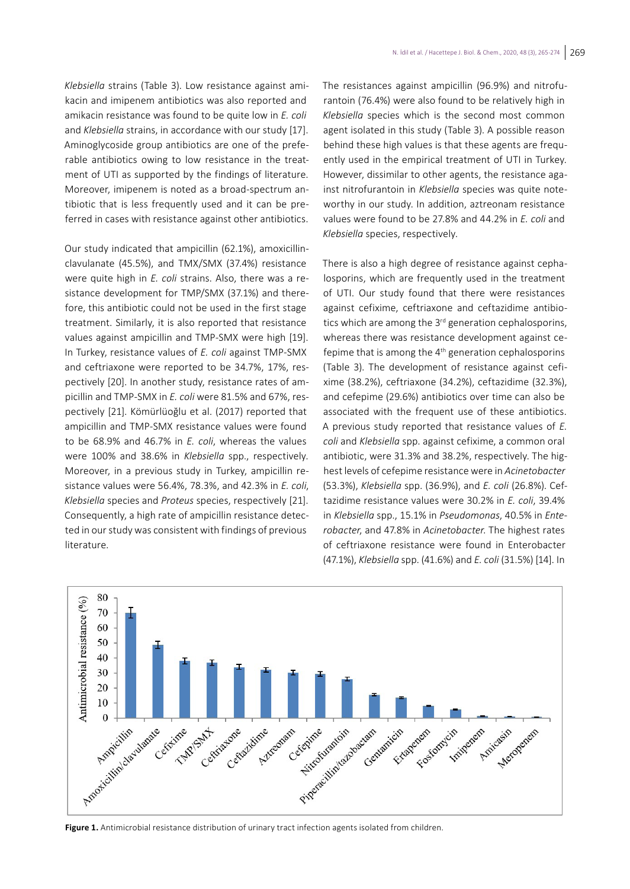*Klebsiella* strains (Table 3). Low resistance against amikacin and imipenem antibiotics was also reported and amikacin resistance was found to be quite low in *E. coli*  and *Klebsiella* strains, in accordance with our study [17]. Aminoglycoside group antibiotics are one of the preferable antibiotics owing to low resistance in the treatment of UTI as supported by the findings of literature. Moreover, imipenem is noted as a broad-spectrum antibiotic that is less frequently used and it can be preferred in cases with resistance against other antibiotics.

Our study indicated that ampicillin (62.1%), amoxicillinclavulanate (45.5%), and TMX/SMX (37.4%) resistance were quite high in *E. coli* strains. Also, there was a resistance development for TMP/SMX (37.1%) and therefore, this antibiotic could not be used in the first stage treatment. Similarly, it is also reported that resistance values against ampicillin and TMP-SMX were high [19]. In Turkey, resistance values of *E. coli* against TMP-SMX and ceftriaxone were reported to be 34.7%, 17%, respectively [20]. In another study, resistance rates of ampicillin and TMP-SMX in *E. coli* were 81.5% and 67%, respectively [21]. Kömürlüoğlu et al. (2017) reported that ampicillin and TMP-SMX resistance values were found to be 68.9% and 46.7% in *E. coli*, whereas the values were 100% and 38.6% in *Klebsiella* spp., respectively. Moreover, in a previous study in Turkey, ampicillin resistance values were 56.4%, 78.3%, and 42.3% in *E. coli*, *Klebsiella* species and *Proteus* species, respectively [21]. Consequently, a high rate of ampicillin resistance detected in our study was consistent with findings of previous literature.

The resistances against ampicillin (96.9%) and nitrofurantoin (76.4%) were also found to be relatively high in *Klebsiella* species which is the second most common agent isolated in this study (Table 3). A possible reason behind these high values is that these agents are frequently used in the empirical treatment of UTI in Turkey. However, dissimilar to other agents, the resistance against nitrofurantoin in *Klebsiella* species was quite noteworthy in our study. In addition, aztreonam resistance values were found to be 27.8% and 44.2% in *E. coli* and *Klebsiella* species, respectively.

There is also a high degree of resistance against cephalosporins, which are frequently used in the treatment of UTI. Our study found that there were resistances against cefixime, ceftriaxone and ceftazidime antibiotics which are among the  $3<sup>rd</sup>$  generation cephalosporins, whereas there was resistance development against cefepime that is among the  $4<sup>th</sup>$  generation cephalosporins (Table 3). The development of resistance against cefixime (38.2%), ceftriaxone (34.2%), ceftazidime (32.3%), and cefepime (29.6%) antibiotics over time can also be associated with the frequent use of these antibiotics. A previous study reported that resistance values of *E. coli* and *Klebsiella* spp. against cefixime, a common oral antibiotic, were 31.3% and 38.2%, respectively. The highest levels of cefepime resistance were in *Acinetobacter* (53.3%), *Klebsiella* spp. (36.9%), and *E. coli* (26.8%). Ceftazidime resistance values were 30.2% in *E. coli*, 39.4% in *Klebsiella* spp., 15.1% in *Pseudomonas*, 40.5% in *Enterobacter*, and 47.8% in *Acinetobacter*. The highest rates of ceftriaxone resistance were found in Enterobacter (47.1%), *Klebsiella* spp. (41.6%) and *E. coli* (31.5%) [14]. In



**Figure 1.** Antimicrobial resistance distribution of urinary tract infection agents isolated from children.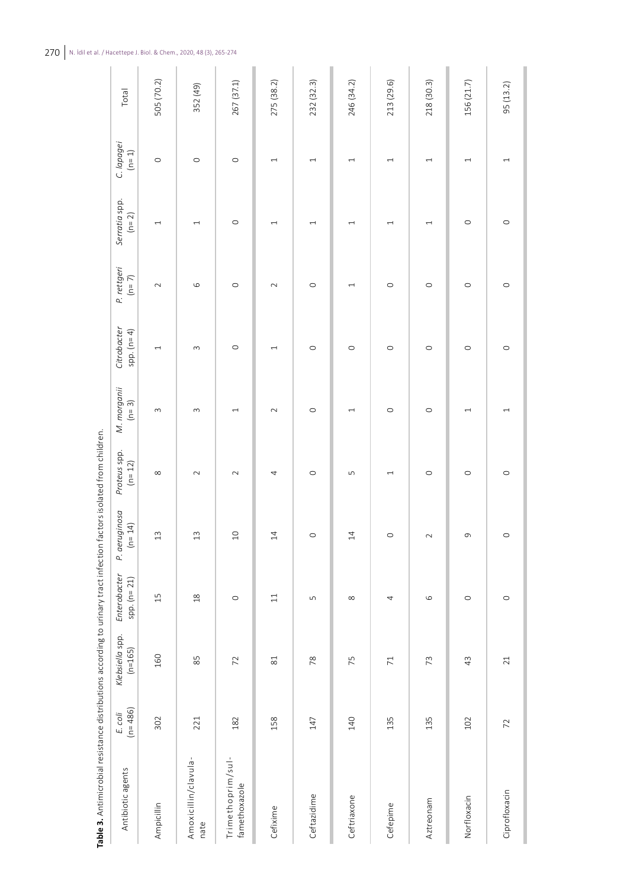| Antibiotic agents                  | $(n=486)$<br>E. coli | Klebsiella spp.<br>$(n=165)$ | Enterobacter<br>$spp.$ ( $n=21$ ) | P. aeruginosa<br>$(n = 14)$ | Proteus spp.<br>$(n = 12)$ | M. morganii<br>$(n=3)$   | Citrobacter<br>spp. $(n=4)$ | P. rettgeri<br>$(n=7)$ | Serratia spp.<br>$(n = 2)$ | C. lapagei<br>$(n=1)$    | Total      |
|------------------------------------|----------------------|------------------------------|-----------------------------------|-----------------------------|----------------------------|--------------------------|-----------------------------|------------------------|----------------------------|--------------------------|------------|
| Ampicillin                         | 302                  | 160                          | 15                                | $\frac{3}{2}$               | $\infty$                   | $\sim$                   | $\overline{ }$              | $\sim$                 | $\overline{\phantom{0}}$   | $\circ$                  | 505 (70.2) |
| Amoxicillin/clavula-<br>nate       | 221                  | 85                           | $\frac{8}{18}$                    | $13$                        | $\sim$                     | $\sim$                   | $\infty$                    | $\circ$                | $\overline{\phantom{0}}$   | $\circ$                  | 352 (49)   |
| Trimethoprim/sul-<br>famethoxazole | 182                  | 72                           | $\circ$                           | $\overline{10}$             | $\sim$                     | $\overline{ }$           | $\circ$                     | $\circ$                | $\circ$                    | $\circ$                  | 267 (37.1) |
| Cefixime                           | 158                  | $\overline{\text{8}}$        | $\Xi$                             | $\overline{4}$              | 4                          | $\sim$                   | $\overline{\phantom{0}}$    | $\sim$                 | $\overline{\phantom{0}}$   | $\overline{\phantom{0}}$ | 275 (38.2) |
| Ceftazidime                        | $147$                | 78                           | $\mathsf{L}\cap$                  | $\circ$                     | $\circ$                    | $\circ$                  | $\circ$                     | $\circ$                | $\overline{\phantom{0}}$   | $\overline{\phantom{0}}$ | 232 (32.3) |
| Ceftriaxone                        | 140                  | 75                           | $\infty$                          | $\overline{4}$              | LŊ                         | $\overline{\phantom{0}}$ | $\circ$                     |                        | $\overline{\phantom{0}}$   | $\overline{\phantom{0}}$ | 246 (34.2) |
| Cefepime                           | 135                  | $\overline{71}$              | 4                                 | $\circ$                     | $\overline{ }$             | $\circ$                  | $\circ$                     | $\circ$                | $\overline{ }$             | $\overline{ }$           | 213 (29.6) |
| Aztreonam                          | 135                  | 73                           | $\circ$                           | $\sim$                      | $\circ$                    | $\circ$                  | $\circ$                     | $\circ$                | $\overline{\phantom{0}}$   | $\overline{\phantom{0}}$ | 218 (30.3) |
| Norfloxacin                        | 102                  | 43                           | $\circ$                           | $\sigma$                    | $\circ$                    | $\overline{\phantom{0}}$ | $\circ$                     | $\circ$                | $\circ$                    |                          | 156 (21.7) |
| Ciprofloxacin                      | 72                   | 21                           | $\circ$                           | $\circ$                     | $\circ$                    | $\overline{\phantom{0}}$ | $\circ$                     | $\circ$                | $\circ$                    |                          | 95 (13.2)  |

Table 3. Antimicrobial resistance distributions according to urinary tract infection factors isolated from children. **Table 3.** Antimicrobial resistance distributions according to urinary tract infection factors isolated from children.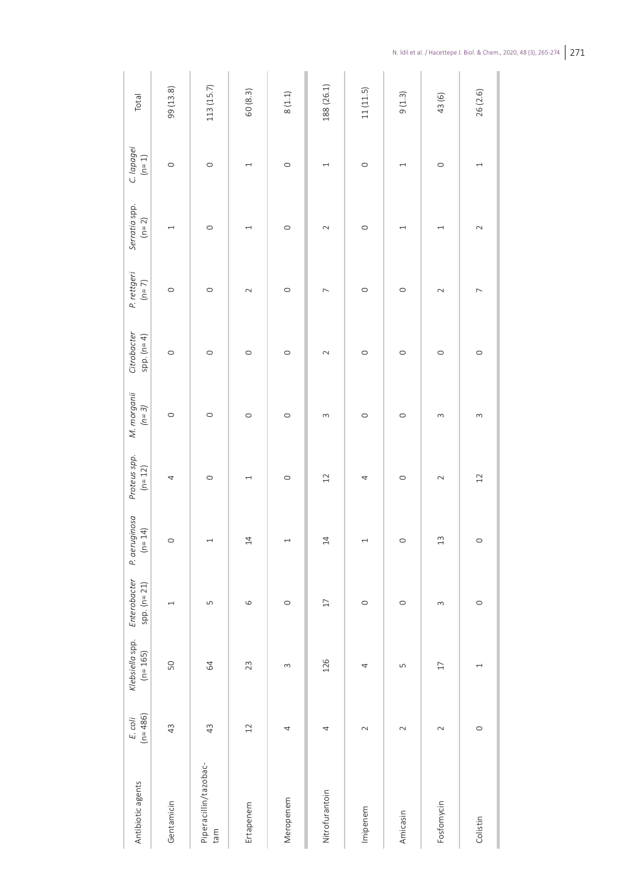| Antibiotic agents            | $(n=486)$<br>E. coli | Klebsiella spp.<br>$(n = 165)$ | Enterobacter<br>$spp. (n = 21)$ | P. aeruginosa<br>$(n = 14)$ | Proteus spp.<br>$(h = 12)$ | M. morganii<br>$(n=3)$ | Citrobacter<br>spp. $(n=4)$ | P. rettgeri<br>$(n=7)$ | Serratia spp.<br>$(n = 2)$ | C. lapagei<br>$(n=1)$    | Total      |
|------------------------------|----------------------|--------------------------------|---------------------------------|-----------------------------|----------------------------|------------------------|-----------------------------|------------------------|----------------------------|--------------------------|------------|
| Gentamicin                   | 43                   | 50                             | $\overline{\phantom{0}}$        | $\circ$                     | 4                          | $\circ$                | $\circ$                     | $\circ$                | $\overline{\phantom{0}}$   | $\circ$                  | 99 (13.8)  |
| Piperacillin/tazobac-<br>tam | 43                   | 64                             | $\sqrt{2}$                      | $\overline{ }$              | $\circ$                    | $\circ$                | $\circ$                     | $\circ$                | $\circ$                    | $\circ$                  | 113 (15.7) |
| Ertapenem                    | 12                   | 23                             | $\circ$                         | $14\,$                      | $\overline{\phantom{0}}$   | $\circ$                | $\circ$                     | $\sim$                 | $\overline{\phantom{0}}$   | $\overline{ }$           | 60 (8.3)   |
| Meropenem                    | 4                    | $\infty$                       | $\circ$                         | $\overline{ }$              | $\circ$                    | $\circ$                | $\circ$                     | $\circ$                | $\circ$                    | $\circ$                  | $8\ (1.1)$ |
| Nitrofurantoin               | 4                    | 126                            | $\Box$                          | 14                          | 12                         | $\infty$               | $\sim$                      | $\overline{ }$         | $\sim$                     | $\overline{\phantom{0}}$ | 188 (26.1) |
| Imipenem                     | $\sim$               | 4                              | $\circ$                         | $\overline{ }$              | 4                          | $\circ$                | $\circ$                     | $\circ$                | $\circ$                    | $\circ$                  | 11(11.5)   |
| Amicasin                     | $\sim$               | LŊ                             | $\circ$                         | $\circ$                     | $\circ$                    | $\circ$                | $\circ$                     | $\circ$                | $\overline{\phantom{0}}$   | $\overline{\phantom{0}}$ | 9(1.3)     |
| Fosfomycin                   | $\sim$               | $\overline{17}$                | $\infty$                        | 13                          | $\sim$                     | 3                      | $\circ$                     | $\sim$                 | 1                          | $\circ$                  | 43(6)      |
| Colistin                     | $\circ$              | $\overline{\phantom{0}}$       | $\circ$                         | $\circ$                     | $12$                       | $\sim$                 | $\circ$                     | $\overline{ }$         | $\sim$                     | $\overline{ }$           | 26 (2.6)   |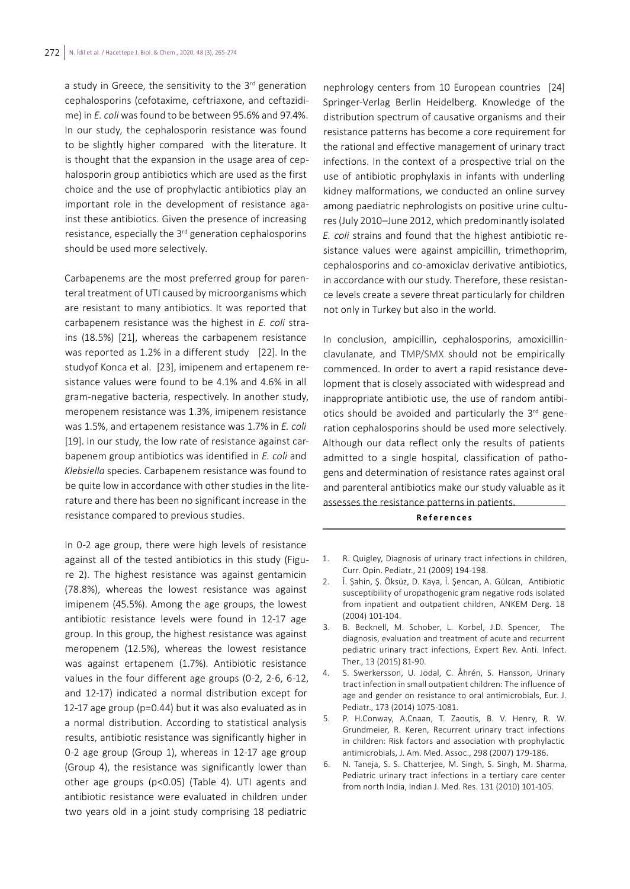a study in Greece, the sensitivity to the 3<sup>rd</sup> generation cephalosporins (cefotaxime, ceftriaxone, and ceftazidime) in *E. coli* was found to be between 95.6% and 97.4%. In our study, the cephalosporin resistance was found to be slightly higher compared with the literature. It is thought that the expansion in the usage area of cephalosporin group antibiotics which are used as the first choice and the use of prophylactic antibiotics play an important role in the development of resistance against these antibiotics. Given the presence of increasing resistance, especially the 3rd generation cephalosporins should be used more selectively.

Carbapenems are the most preferred group for parenteral treatment of UTI caused by microorganisms which are resistant to many antibiotics. It was reported that carbapenem resistance was the highest in *E. coli* strains (18.5%) [21], whereas the carbapenem resistance was reported as 1.2% in a different study [22]. In the studyof Konca et al. [23], imipenem and ertapenem resistance values were found to be 4.1% and 4.6% in all gram-negative bacteria, respectively. In another study, meropenem resistance was 1.3%, imipenem resistance was 1.5%, and ertapenem resistance was 1.7% in *E. coli*  [19]. In our study, the low rate of resistance against carbapenem group antibiotics was identified in *E. coli* and *Klebsiella* species. Carbapenem resistance was found to be quite low in accordance with other studies in the literature and there has been no significant increase in the resistance compared to previous studies.

In 0-2 age group, there were high levels of resistance against all of the tested antibiotics in this study (Figure 2). The highest resistance was against gentamicin (78.8%), whereas the lowest resistance was against imipenem (45.5%). Among the age groups, the lowest antibiotic resistance levels were found in 12-17 age group. In this group, the highest resistance was against meropenem (12.5%), whereas the lowest resistance was against ertapenem (1.7%). Antibiotic resistance values in the four different age groups (0-2, 2-6, 6-12, and 12-17) indicated a normal distribution except for 12-17 age group (p=0.44) but it was also evaluated as in a normal distribution. According to statistical analysis results, antibiotic resistance was significantly higher in 0-2 age group (Group 1), whereas in 12-17 age group (Group 4), the resistance was significantly lower than other age groups (p<0.05) (Table 4). UTI agents and antibiotic resistance were evaluated in children under two years old in a joint study comprising 18 pediatric

nephrology centers from 10 European countries [24] Springer-Verlag Berlin Heidelberg. Knowledge of the distribution spectrum of causative organisms and their resistance patterns has become a core requirement for the rational and effective management of urinary tract infections. In the context of a prospective trial on the use of antibiotic prophylaxis in infants with underling kidney malformations, we conducted an online survey among paediatric nephrologists on positive urine cultures (July 2010–June 2012, which predominantly isolated *E. coli* strains and found that the highest antibiotic resistance values were against ampicillin, trimethoprim, cephalosporins and co-amoxiclav derivative antibiotics, in accordance with our study. Therefore, these resistance levels create a severe threat particularly for children not only in Turkey but also in the world.

In conclusion, ampicillin, cephalosporins, amoxicillinclavulanate, and TMP/SMX should not be empirically commenced. In order to avert a rapid resistance development that is closely associated with widespread and inappropriate antibiotic use, the use of random antibiotics should be avoided and particularly the 3rd generation cephalosporins should be used more selectively. Although our data reflect only the results of patients admitted to a single hospital, classification of pathogens and determination of resistance rates against oral and parenteral antibiotics make our study valuable as it assesses the resistance patterns in patients.

#### **References**

- 1. R. Quigley, Diagnosis of urinary tract infections in children, Curr. Opin. Pediatr., 21 (2009) 194-198.
- 2. İ. Şahin, Ş. Öksüz, D. Kaya, İ. Şencan, A. Gülcan, Antibiotic susceptibility of uropathogenic gram negative rods isolated from inpatient and outpatient children, ANKEM Derg. 18 (2004) 101-104.
- 3. B. Becknell, M. Schober, L. Korbel, J.D. Spencer, The diagnosis, evaluation and treatment of acute and recurrent pediatric urinary tract infections, Expert Rev. Anti. Infect. Ther., 13 (2015) 81-90.
- 4. S. Swerkersson, U. Jodal, C. Åhrén, S. Hansson, Urinary tract infection in small outpatient children: The influence of age and gender on resistance to oral antimicrobials, Eur. J. Pediatr., 173 (2014) 1075-1081.
- 5. P. H.Conway, A.Cnaan, T. Zaoutis, B. V. Henry, R. W. Grundmeier, R. Keren, Recurrent urinary tract infections in children: Risk factors and association with prophylactic antimicrobials, J. Am. Med. Assoc., 298 (2007) 179-186.
- 6. N. Taneja, S. S. Chatterjee, M. Singh, S. Singh, M. Sharma, Pediatric urinary tract infections in a tertiary care center from north India, Indian J. Med. Res. 131 (2010) 101-105.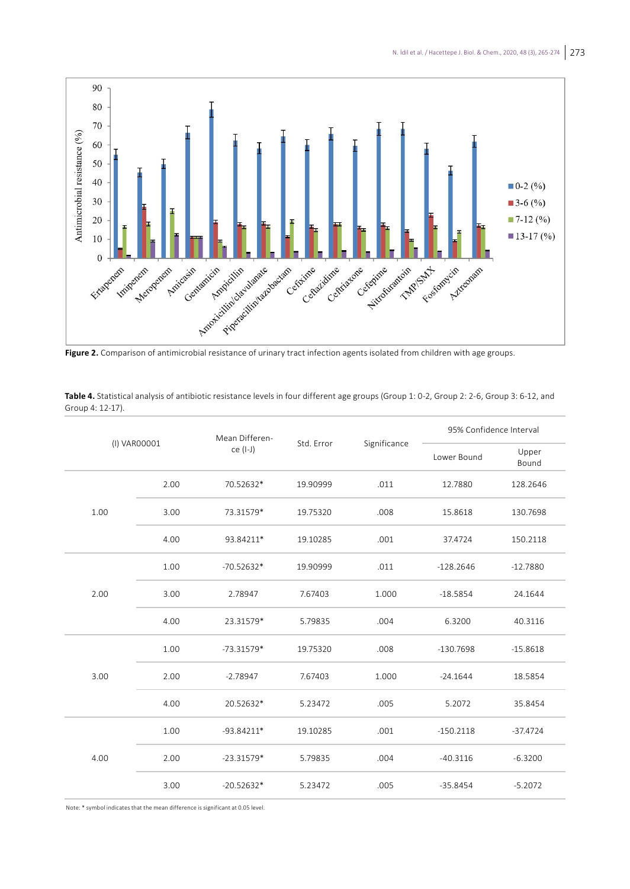

|              |      | Mean Differen- | Std. Error |              | 95% Confidence Interval |                |
|--------------|------|----------------|------------|--------------|-------------------------|----------------|
| (I) VAR00001 |      | ce (I-J)       |            | Significance | Lower Bound             | Upper<br>Bound |
|              | 2.00 | 70.52632*      | 19.90999   | .011         | 12.7880                 | 128.2646       |
| 1.00         | 3.00 | 73.31579*      | 19.75320   | .008         | 15.8618                 | 130.7698       |
|              | 4.00 | 93.84211*      | 19.10285   | .001         | 37.4724                 | 150.2118       |
|              | 1.00 | $-70.52632*$   | 19.90999   | .011         | $-128.2646$             | $-12.7880$     |
| 2.00         | 3.00 | 2.78947        | 7.67403    | 1.000        | $-18.5854$              | 24.1644        |
|              | 4.00 | 23.31579*      | 5.79835    | .004         | 6.3200                  | 40.3116        |
|              | 1.00 | $-73.31579*$   | 19.75320   | .008         | $-130.7698$             | $-15.8618$     |
| 3.00         | 2.00 | $-2.78947$     | 7.67403    | 1.000        | $-24.1644$              | 18.5854        |
|              | 4.00 | 20.52632*      | 5.23472    | .005         | 5.2072                  | 35.8454        |
| 4.00         | 1.00 | $-93.84211*$   | 19.10285   | .001         | $-150.2118$             | $-37.4724$     |
|              | 2.00 | $-23.31579*$   | 5.79835    | .004         | $-40.3116$              | $-6.3200$      |
|              | 3.00 | $-20.52632*$   | 5.23472    | .005         | $-35.8454$              | $-5.2072$      |

**Table 4.** Statistical analysis of antibiotic resistance levels in four different age groups (Group 1: 0-2, Group 2: 2-6, Group 3: 6-12, and Group 4: 12-17).

Note: \* symbol indicates that the mean difference is significant at 0.05 level.